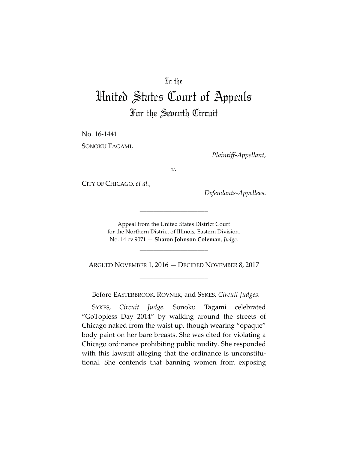## In the

# United States Court of Appeals For the Seventh Circuit

\_\_\_\_\_\_\_\_\_\_\_\_\_\_\_\_\_\_\_\_

No. 16-1441 SONOKU TAGAMI,

*Plaintiff-Appellant*,

*v.*

CITY OF CHICAGO, *et al.*,

*Defendants-Appellees*.

Appeal from the United States District Court for the Northern District of Illinois, Eastern Division. No. 14 cv 9071 — **Sharon Johnson Coleman**, *Judge*.

\_\_\_\_\_\_\_\_\_\_\_\_\_\_\_\_\_\_\_\_

\_\_\_\_\_\_\_\_\_\_\_\_\_\_\_\_\_\_\_\_

ARGUED NOVEMBER 1, 2016 — DECIDED NOVEMBER 8, 2017 \_\_\_\_\_\_\_\_\_\_\_\_\_\_\_\_\_\_\_\_

Before EASTERBROOK, ROVNER, and SYKES, *Circuit Judges*.

SYKES, *Circuit Judge*. Sonoku Tagami celebrated "GoTopless Day 2014" by walking around the streets of Chicago naked from the waist up, though wearing "opaque" body paint on her bare breasts. She was cited for violating a Chicago ordinance prohibiting public nudity. She responded with this lawsuit alleging that the ordinance is unconstitutional. She contends that banning women from exposing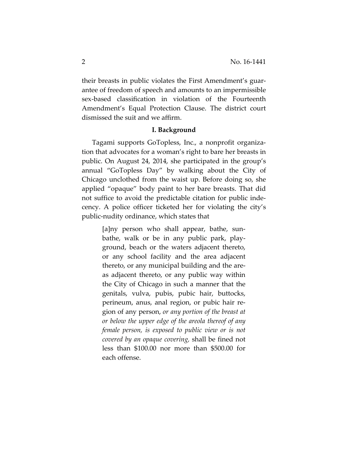their breasts in public violates the First Amendment's guarantee of freedom of speech and amounts to an impermissible sex-based classification in violation of the Fourteenth Amendment's Equal Protection Clause. The district court dismissed the suit and we affirm.

#### **I. Background**

Tagami supports GoTopless, Inc., a nonprofit organization that advocates for a woman's right to bare her breasts in public. On August 24, 2014, she participated in the group's annual "GoTopless Day" by walking about the City of Chicago unclothed from the waist up. Before doing so, she applied "opaque" body paint to her bare breasts. That did not suffice to avoid the predictable citation for public indecency. A police officer ticketed her for violating the city's public-nudity ordinance, which states that

> [a]ny person who shall appear, bathe, sunbathe, walk or be in any public park, playground, beach or the waters adjacent thereto, or any school facility and the area adjacent thereto, or any municipal building and the areas adjacent thereto, or any public way within the City of Chicago in such a manner that the genitals, vulva, pubis, pubic hair, buttocks, perineum, anus, anal region, or pubic hair region of any person, *or any portion of the breast at or below the upper edge of the areola thereof of any female person, is exposed to public view or is not covered by an opaque covering,* shall be fined not less than \$100.00 nor more than \$500.00 for each offense.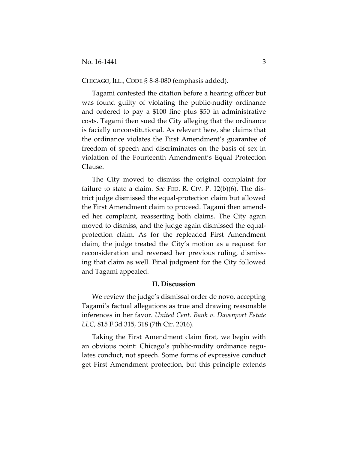#### CHICAGO, ILL., CODE § 8-8-080 (emphasis added).

Tagami contested the citation before a hearing officer but was found guilty of violating the public-nudity ordinance and ordered to pay a \$100 fine plus \$50 in administrative costs. Tagami then sued the City alleging that the ordinance is facially unconstitutional. As relevant here, she claims that the ordinance violates the First Amendment's guarantee of freedom of speech and discriminates on the basis of sex in violation of the Fourteenth Amendment's Equal Protection Clause.

The City moved to dismiss the original complaint for failure to state a claim. *See* FED. R. CIV. P. 12(b)(6). The district judge dismissed the equal-protection claim but allowed the First Amendment claim to proceed. Tagami then amended her complaint, reasserting both claims. The City again moved to dismiss, and the judge again dismissed the equalprotection claim. As for the repleaded First Amendment claim, the judge treated the City's motion as a request for reconsideration and reversed her previous ruling, dismissing that claim as well. Final judgment for the City followed and Tagami appealed.

### **II. Discussion**

We review the judge's dismissal order de novo, accepting Tagami's factual allegations as true and drawing reasonable inferences in her favor. *United Cent. Bank v. Davenport Estate LLC*, 815 F.3d 315, 318 (7th Cir. 2016).

Taking the First Amendment claim first, we begin with an obvious point: Chicago's public-nudity ordinance regulates conduct, not speech. Some forms of expressive conduct get First Amendment protection, but this principle extends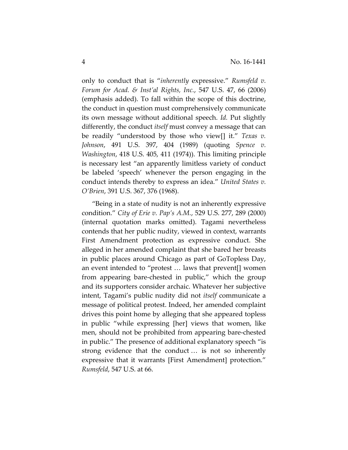only to conduct that is "*inherently* expressive." *Rumsfeld v. Forum for Acad. & Inst'al Rights, Inc.*, 547 U.S. 47, 66 (2006) (emphasis added). To fall within the scope of this doctrine, the conduct in question must comprehensively communicate its own message without additional speech. *Id.* Put slightly differently, the conduct *itself* must convey a message that can be readily "understood by those who view[] it." *Texas v. Johnson*, 491 U.S. 397, 404 (1989) (quoting *Spence v. Washington*, 418 U.S. 405, 411 (1974)). This limiting principle is necessary lest "an apparently limitless variety of conduct be labeled 'speech' whenever the person engaging in the conduct intends thereby to express an idea." *United States v. O'Brien*, 391 U.S. 367, 376 (1968).

"Being in a state of nudity is not an inherently expressive condition." *City of Erie v. Pap's A.M.*, 529 U.S. 277, 289 (2000) (internal quotation marks omitted). Tagami nevertheless contends that her public nudity, viewed in context, warrants First Amendment protection as expressive conduct. She alleged in her amended complaint that she bared her breasts in public places around Chicago as part of GoTopless Day, an event intended to "protest … laws that prevent[] women from appearing bare-chested in public," which the group and its supporters consider archaic. Whatever her subjective intent, Tagami's public nudity did not *itself* communicate a message of political protest. Indeed, her amended complaint drives this point home by alleging that she appeared topless in public "while expressing [her] views that women, like men, should not be prohibited from appearing bare-chested in public." The presence of additional explanatory speech "is strong evidence that the conduct … is not so inherently expressive that it warrants [First Amendment] protection." *Rumsfeld*, 547 U.S. at 66.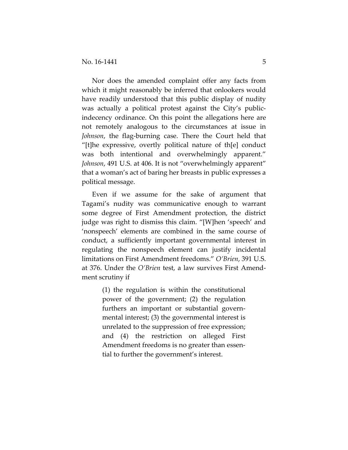Nor does the amended complaint offer any facts from which it might reasonably be inferred that onlookers would have readily understood that this public display of nudity was actually a political protest against the City's publicindecency ordinance. On this point the allegations here are not remotely analogous to the circumstances at issue in *Johnson*, the flag-burning case. There the Court held that "[t]he expressive, overtly political nature of th[e] conduct was both intentional and overwhelmingly apparent." *Johnson*, 491 U.S. at 406. It is not "overwhelmingly apparent" that a woman's act of baring her breasts in public expresses a political message.

Even if we assume for the sake of argument that Tagami's nudity was communicative enough to warrant some degree of First Amendment protection, the district judge was right to dismiss this claim. "[W]hen 'speech' and 'nonspeech' elements are combined in the same course of conduct, a sufficiently important governmental interest in regulating the nonspeech element can justify incidental limitations on First Amendment freedoms." *O'Brien*, 391 U.S. at 376. Under the *O'Brien* test, a law survives First Amendment scrutiny if

> (1) the regulation is within the constitutional power of the government; (2) the regulation furthers an important or substantial governmental interest; (3) the governmental interest is unrelated to the suppression of free expression; and (4) the restriction on alleged First Amendment freedoms is no greater than essential to further the government's interest.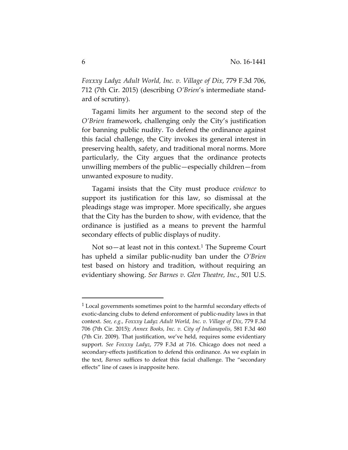*Foxxxy Ladyz Adult World, Inc. v. Village of Dix*, 779 F.3d 706, 712 (7th Cir. 2015) (describing *O'Brien*'s intermediate standard of scrutiny).

Tagami limits her argument to the second step of the *O'Brien* framework, challenging only the City's justification for banning public nudity. To defend the ordinance against this facial challenge, the City invokes its general interest in preserving health, safety, and traditional moral norms. More particularly, the City argues that the ordinance protects unwilling members of the public—especially children—from unwanted exposure to nudity.

Tagami insists that the City must produce *evidence* to support its justification for this law, so dismissal at the pleadings stage was improper. More specifically, she argues that the City has the burden to show, with evidence, that the ordinance is justified as a means to prevent the harmful secondary effects of public displays of nudity.

Not so—at least not in this context.<sup>1</sup> The Supreme Court has upheld a similar public-nudity ban under the *O'Brien* test based on history and tradition, without requiring an evidentiary showing. *See Barnes v. Glen Theatre, Inc.*, 501 U.S.

 $\overline{a}$ 

 $1$  Local governments sometimes point to the harmful secondary effects of exotic-dancing clubs to defend enforcement of public-nudity laws in that context. *See, e.g., Foxxxy Ladyz Adult World, Inc. v. Village of Dix*, 779 F.3d 706 (7th Cir. 2015); *Annex Books, Inc. v. City of Indianapolis*, 581 F.3d 460 (7th Cir. 2009). That justification, we've held, requires some evidentiary support. *See Foxxxy Ladyz*, 779 F.3d at 716. Chicago does not need a secondary-effects justification to defend this ordinance. As we explain in the text, *Barnes* suffices to defeat this facial challenge. The "secondary effects" line of cases is inapposite here.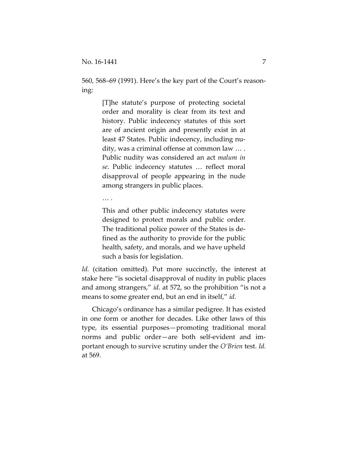560, 568–69 (1991). Here's the key part of the Court's reasoning:

> [T]he statute's purpose of protecting societal order and morality is clear from its text and history. Public indecency statutes of this sort are of ancient origin and presently exist in at least 47 States. Public indecency, including nudity, was a criminal offense at common law … . Public nudity was considered an act *malum in se*. Public indecency statutes … reflect moral disapproval of people appearing in the nude among strangers in public places.

… .

This and other public indecency statutes were designed to protect morals and public order. The traditional police power of the States is defined as the authority to provide for the public health, safety, and morals, and we have upheld such a basis for legislation.

Id. (citation omitted). Put more succinctly, the interest at stake here "is societal disapproval of nudity in public places and among strangers," *id.* at 572, so the prohibition "is not a means to some greater end, but an end in itself," *id.*

Chicago's ordinance has a similar pedigree. It has existed in one form or another for decades. Like other laws of this type, its essential purposes—promoting traditional moral norms and public order—are both self-evident and important enough to survive scrutiny under the *O'Brien* test. *Id.*  at 569.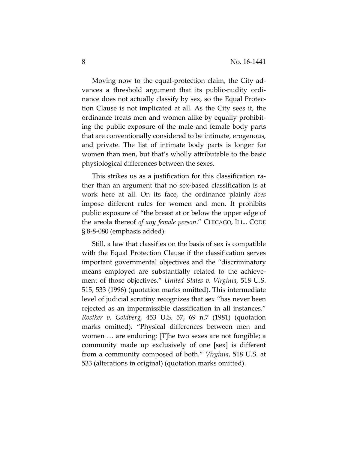Moving now to the equal-protection claim, the City advances a threshold argument that its public-nudity ordinance does not actually classify by sex, so the Equal Protection Clause is not implicated at all. As the City sees it, the ordinance treats men and women alike by equally prohibiting the public exposure of the male and female body parts that are conventionally considered to be intimate, erogenous, and private. The list of intimate body parts is longer for women than men, but that's wholly attributable to the basic physiological differences between the sexes.

This strikes us as a justification for this classification rather than an argument that no sex-based classification is at work here at all. On its face, the ordinance plainly *does*  impose different rules for women and men. It prohibits public exposure of "the breast at or below the upper edge of the areola thereof *of any female person*." CHICAGO, ILL., CODE § 8-8-080 (emphasis added).

Still, a law that classifies on the basis of sex is compatible with the Equal Protection Clause if the classification serves important governmental objectives and the "discriminatory means employed are substantially related to the achievement of those objectives." *United States v. Virginia*, 518 U.S. 515, 533 (1996) (quotation marks omitted). This intermediate level of judicial scrutiny recognizes that sex "has never been rejected as an impermissible classification in all instances." *Rostker v. Goldberg,* 453 U.S. 57, 69 n.7 (1981) (quotation marks omitted). "Physical differences between men and women … are enduring: [T]he two sexes are not fungible; a community made up exclusively of one [sex] is different from a community composed of both." *Virginia*, 518 U.S. at 533 (alterations in original) (quotation marks omitted).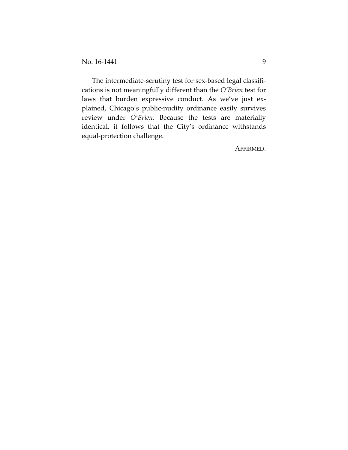The intermediate-scrutiny test for sex-based legal classifications is not meaningfully different than the *O'Brien* test for laws that burden expressive conduct. As we've just explained, Chicago's public-nudity ordinance easily survives review under *O'Brien*. Because the tests are materially identical, it follows that the City's ordinance withstands equal-protection challenge.

AFFIRMED.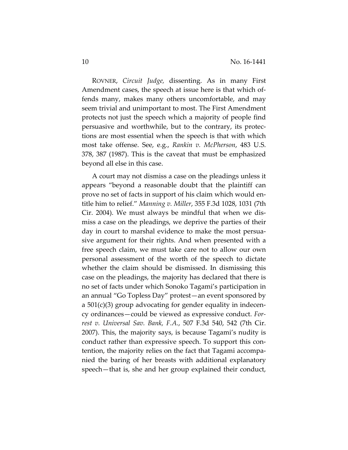ROVNER, *Circuit Judge,* dissenting. As in many First Amendment cases, the speech at issue here is that which offends many, makes many others uncomfortable, and may seem trivial and unimportant to most. The First Amendment protects not just the speech which a majority of people find persuasive and worthwhile, but to the contrary, its protections are most essential when the speech is that with which most take offense. See, e.g., *Rankin v. McPherson*, 483 U.S. 378, 387 (1987). This is the caveat that must be emphasized beyond all else in this case.

A court may not dismiss a case on the pleadings unless it appears "beyond a reasonable doubt that the plaintiff can prove no set of facts in support of his claim which would entitle him to relief." *Manning v. Miller*, 355 F.3d 1028, 1031 (7th Cir. 2004). We must always be mindful that when we dismiss a case on the pleadings, we deprive the parties of their day in court to marshal evidence to make the most persuasive argument for their rights. And when presented with a free speech claim, we must take care not to allow our own personal assessment of the worth of the speech to dictate whether the claim should be dismissed. In dismissing this case on the pleadings, the majority has declared that there is no set of facts under which Sonoko Tagami's participation in an annual "Go Topless Day" protest—an event sponsored by a 501(c)(3) group advocating for gender equality in indecency ordinances—could be viewed as expressive conduct. *Forrest v. Universal Sav. Bank, F.A.*, 507 F.3d 540, 542 (7th Cir. 2007). This, the majority says, is because Tagami's nudity is conduct rather than expressive speech. To support this contention, the majority relies on the fact that Tagami accompanied the baring of her breasts with additional explanatory speech—that is, she and her group explained their conduct,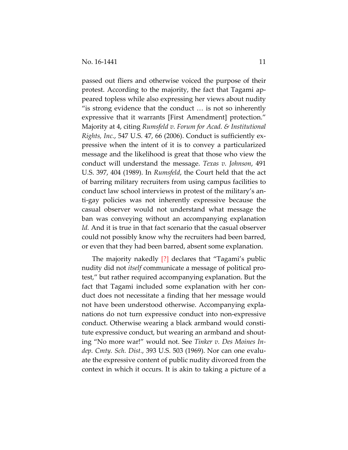passed out fliers and otherwise voiced the purpose of their protest. According to the majority, the fact that Tagami appeared topless while also expressing her views about nudity "is strong evidence that the conduct … is not so inherently expressive that it warrants [First Amendment] protection." Majority at 4, citing *Rumsfeld v. Forum for Acad. & Institutional Rights, Inc.*, 547 U.S. 47, 66 (2006). Conduct is sufficiently expressive when the intent of it is to convey a particularized message and the likelihood is great that those who view the conduct will understand the message. *Texas v. Johnson*, 491 U.S. 397, 404 (1989). In *Rumsfeld*, the Court held that the act of barring military recruiters from using campus facilities to conduct law school interviews in protest of the military's anti-gay policies was not inherently expressive because the casual observer would not understand what message the ban was conveying without an accompanying explanation *Id.* And it is true in that fact scenario that the casual observer could not possibly know why the recruiters had been barred, or even that they had been barred, absent some explanation.

The majority nakedly [?] declares that "Tagami's public nudity did not *itself* communicate a message of political protest," but rather required accompanying explanation. But the fact that Tagami included some explanation with her conduct does not necessitate a finding that her message would not have been understood otherwise. Accompanying explanations do not turn expressive conduct into non-expressive conduct. Otherwise wearing a black armband would constitute expressive conduct, but wearing an armband and shouting "No more war!" would not. See *Tinker v. Des Moines Indep. Cmty. Sch. Dist.*, 393 U.S. 503 (1969). Nor can one evaluate the expressive content of public nudity divorced from the context in which it occurs. It is akin to taking a picture of a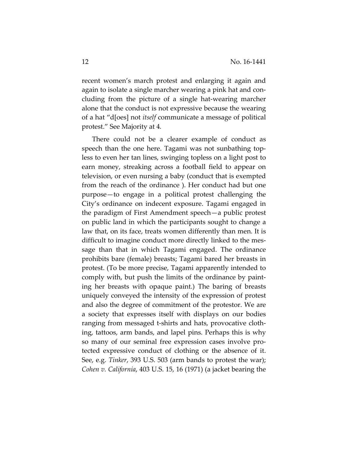recent women's march protest and enlarging it again and again to isolate a single marcher wearing a pink hat and concluding from the picture of a single hat-wearing marcher alone that the conduct is not expressive because the wearing of a hat "d[oes] not *itself* communicate a message of political protest." See Majority at 4*.*

There could not be a clearer example of conduct as speech than the one here. Tagami was not sunbathing topless to even her tan lines, swinging topless on a light post to earn money, streaking across a football field to appear on television, or even nursing a baby (conduct that is exempted from the reach of the ordinance ). Her conduct had but one purpose—to engage in a political protest challenging the City's ordinance on indecent exposure. Tagami engaged in the paradigm of First Amendment speech—a public protest on public land in which the participants sought to change a law that, on its face, treats women differently than men. It is difficult to imagine conduct more directly linked to the message than that in which Tagami engaged. The ordinance prohibits bare (female) breasts; Tagami bared her breasts in protest. (To be more precise, Tagami apparently intended to comply with, but push the limits of the ordinance by painting her breasts with opaque paint.) The baring of breasts uniquely conveyed the intensity of the expression of protest and also the degree of commitment of the protestor. We are a society that expresses itself with displays on our bodies ranging from messaged t-shirts and hats, provocative clothing, tattoos, arm bands, and lapel pins. Perhaps this is why so many of our seminal free expression cases involve protected expressive conduct of clothing or the absence of it. See, e.g. *Tinker*, 393 U.S. 503 (arm bands to protest the war); *Cohen v. California*, 403 U.S. 15, 16 (1971) (a jacket bearing the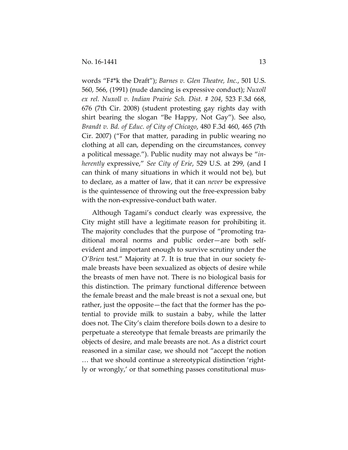words "F#\*k the Draft"); *Barnes v. Glen Theatre, Inc.*, 501 U.S. 560, 566, (1991) (nude dancing is expressive conduct); *Nuxoll ex rel. Nuxoll v. Indian Prairie Sch. Dist. # 204*, 523 F.3d 668, 676 (7th Cir. 2008) (student protesting gay rights day with shirt bearing the slogan "Be Happy, Not Gay"). See also, *Brandt v. Bd. of Educ. of City of Chicago*, 480 F.3d 460, 465 (7th Cir. 2007) ("For that matter, parading in public wearing no clothing at all can, depending on the circumstances, convey a political message."). Public nudity may not always be "*inherently* expressive," *See City of Erie*, 529 U.S. at 299, (and I can think of many situations in which it would not be), but to declare, as a matter of law, that it can *never* be expressive is the quintessence of throwing out the free-expression baby with the non-expressive-conduct bath water.

Although Tagami's conduct clearly was expressive, the City might still have a legitimate reason for prohibiting it. The majority concludes that the purpose of "promoting traditional moral norms and public order—are both selfevident and important enough to survive scrutiny under the *O'Brien* test." Majority at 7. It is true that in our society female breasts have been sexualized as objects of desire while the breasts of men have not. There is no biological basis for this distinction. The primary functional difference between the female breast and the male breast is not a sexual one, but rather, just the opposite—the fact that the former has the potential to provide milk to sustain a baby, while the latter does not. The City's claim therefore boils down to a desire to perpetuate a stereotype that female breasts are primarily the objects of desire, and male breasts are not. As a district court reasoned in a similar case, we should not "accept the notion … that we should continue a stereotypical distinction 'rightly or wrongly,' or that something passes constitutional mus-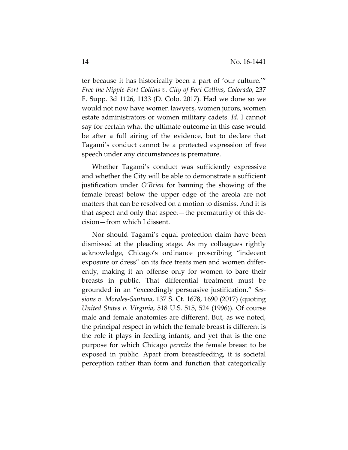ter because it has historically been a part of 'our culture.'" *Free the Nipple-Fort Collins v. City of Fort Collins, Colorado*, 237 F. Supp. 3d 1126, 1133 (D. Colo. 2017). Had we done so we would not now have women lawyers, women jurors, women estate administrators or women military cadets. *Id.* I cannot say for certain what the ultimate outcome in this case would be after a full airing of the evidence, but to declare that Tagami's conduct cannot be a protected expression of free speech under any circumstances is premature.

Whether Tagami's conduct was sufficiently expressive and whether the City will be able to demonstrate a sufficient justification under *O'Brien* for banning the showing of the female breast below the upper edge of the areola are not matters that can be resolved on a motion to dismiss. And it is that aspect and only that aspect—the prematurity of this decision—from which I dissent.

Nor should Tagami's equal protection claim have been dismissed at the pleading stage. As my colleagues rightly acknowledge, Chicago's ordinance proscribing "indecent exposure or dress" on its face treats men and women differently, making it an offense only for women to bare their breasts in public. That differential treatment must be grounded in an "exceedingly persuasive justification." *Sessions v. Morales-Santana*, 137 S. Ct. 1678, 1690 (2017) (quoting *United States v. Virginia*, 518 U.S. 515, 524 (1996)). Of course male and female anatomies are different. But, as we noted, the principal respect in which the female breast is different is the role it plays in feeding infants, and yet that is the one purpose for which Chicago *permits* the female breast to be exposed in public. Apart from breastfeeding, it is societal perception rather than form and function that categorically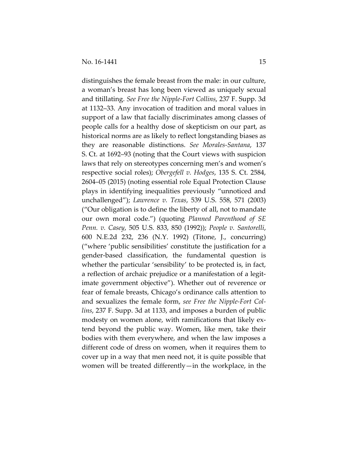distinguishes the female breast from the male: in our culture, a woman's breast has long been viewed as uniquely sexual and titillating. *See Free the Nipple-Fort Collins*, 237 F. Supp. 3d at 1132–33. Any invocation of tradition and moral values in support of a law that facially discriminates among classes of people calls for a healthy dose of skepticism on our part, as historical norms are as likely to reflect longstanding biases as they are reasonable distinctions. *See Morales-Santana*, 137 S. Ct. at 1692–93 (noting that the Court views with suspicion laws that rely on stereotypes concerning men's and women's respective social roles); *Obergefell v. Hodges*, 135 S. Ct. 2584, 2604–05 (2015) (noting essential role Equal Protection Clause plays in identifying inequalities previously "unnoticed and unchallenged"); *Lawrence v. Texas*, 539 U.S. 558, 571 (2003) ("Our obligation is to define the liberty of all, not to mandate our own moral code.") (quoting *Planned Parenthood of SE Penn. v. Casey*, 505 U.S. 833, 850 (1992)); *People v. Santorelli*, 600 N.E.2d 232, 236 (N.Y. 1992) (Titone, J., concurring) ("where 'public sensibilities' constitute the justification for a gender-based classification, the fundamental question is whether the particular 'sensibility' to be protected is, in fact, a reflection of archaic prejudice or a manifestation of a legitimate government objective"). Whether out of reverence or fear of female breasts, Chicago's ordinance calls attention to and sexualizes the female form, *see Free the Nipple-Fort Collins*, 237 F. Supp. 3d at 1133, and imposes a burden of public modesty on women alone, with ramifications that likely extend beyond the public way. Women, like men, take their bodies with them everywhere, and when the law imposes a different code of dress on women, when it requires them to cover up in a way that men need not, it is quite possible that women will be treated differently—in the workplace, in the